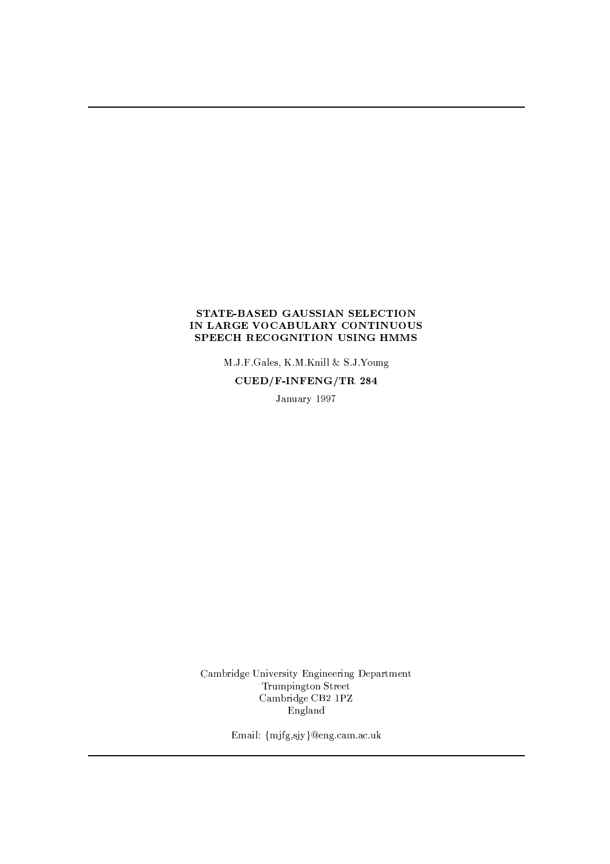## STATE-BASED GAUSSIAN SELECTION IN LARGE VOCABULARY CONTINUOUS SPEECH RECOGNITION USING HMMS

M.J.F.Gales, K.M.Knill & S.J.Young

CUED/F-INFENG/TR 284

January 1997

Cambridge University Engineering Department Trumpington Street Cambridge CB2 1PZ England

Email: {mjfg,sjy}@eng.cam.ac.uk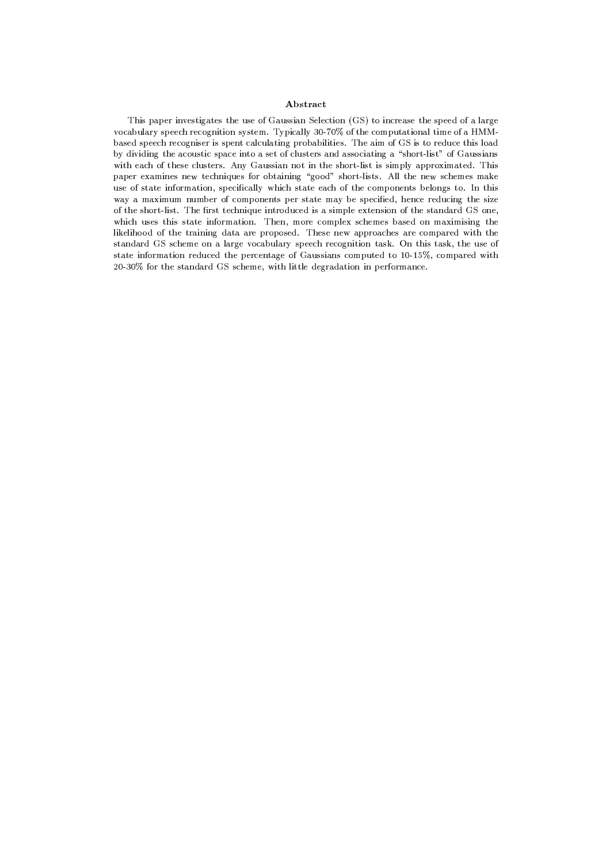## Abstract

This paper investigates the use of Gaussian Selection (GS) to increase the speed of a large vocabulary speech recognition system. Typically 30-70% of the computational time of a HMMbased speech recogniser is spent calculating probabilities. The aim of GS is to reduce this load by dividing the acoustic space into a set of clusters and associating a "short-list" of Gaussians with each of these clusters. Any Gaussian not in the short-list is simply approximated. This paper examines new techniques for obtaining "good" short-lists. All the new schemes make use of state information, specifically which state each of the components belongs to. In this way a maximum number of components per state may be specified, hence reducing the size of the short-list. The first technique introduced is a simple extension of the standard GS one, which uses this state information. Then, more complex schemes based on maximising the likelihood of the training data are proposed. These new approaches are compared with the standard GS scheme on a large vocabulary speech recognition task. On this task, the use of state information reduced the percentage of Gaussians computed to 10-15%, compared with 20-30% for the standard GS scheme, with little degradation in performance.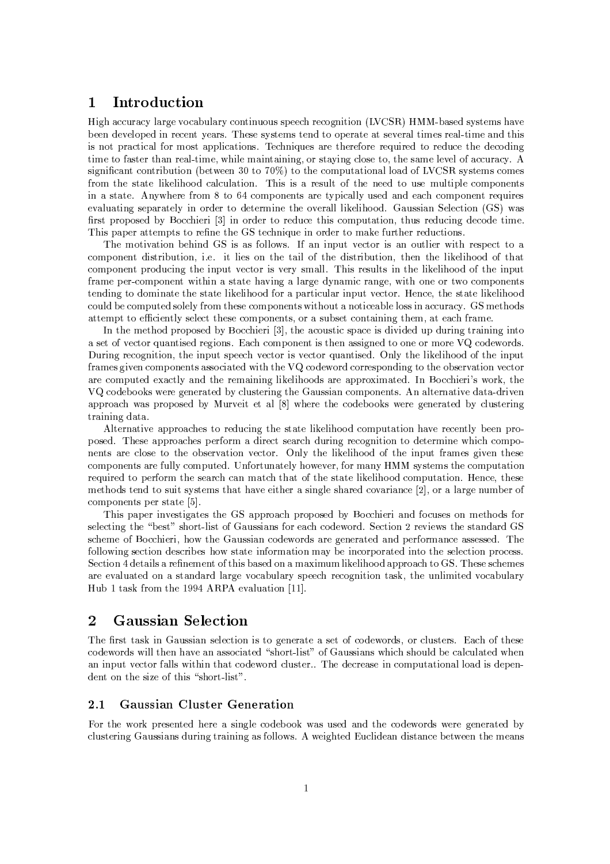## Introduction  $\mathbf{1}$

High accuracy large vocabulary continuous speech recognition (LVCSR) HMM-based systems have been developed in recent years. These systems tend to operate at several times real-time and this is not practical for most applications. Techniques are therefore required to reduce the decoding time to faster than real-time, while maintaining, or staying close to, the same level of accuracy. A significant contribution (between 30 to 70%) to the computational load of LVCSR systems comes from the state likelihood calculation. This is a result of the need to use multiple components in a state. Anywhere from 8 to 64 components are typically used and each component requires evaluating separately in order to determine the overall likelihood. Gaussian Selection (GS) was first proposed by Bocchieri [3] in order to reduce this computation, thus reducing decode time. This paper attempts to refine the GS technique in order to make further reductions.

The motivation behind GS is as follows. If an input vector is an outlier with respect to a component distribution, i.e. it lies on the tail of the distribution, then the likelihood of that component producing the input vector is very small. This results in the likelihood of the input frame per-component within a state having a large dynamic range, with one or two components tending to dominate the state likelihood for a particular input vector. Hence, the state likelihood could be computed solely from these components without a noticeable loss in accuracy. GS methods attempt to efficiently select these components, or a subset containing them, at each frame.

In the method proposed by Bocchieri [3], the acoustic space is divided up during training into a set of vector quantised regions. Each component is then assigned to one or more VQ codewords. During recognition, the input speech vector is vector quantised. Only the likelihood of the input frames given components associated with the VQ codeword corresponding to the observation vector are computed exactly and the remaining likelihoods are approximated. In Bocchieri's work, the VQ codebooks were generated by clustering the Gaussian components. An alternative data-driven approach was proposed by Murveit et al [8] where the codebooks were generated by clustering training data.

Alternative approaches to reducing the state likelihood computation have recently been proposed. These approaches perform a direct search during recognition to determine which components are close to the observation vector. Only the likelihood of the input frames given these components are fully computed. Unfortunately however, for many HMM systems the computation required to perform the search can match that of the state likelihood computation. Hence, these methods tend to suit systems that have either a single shared covariance [2], or a large number of components per state  $[5]$ .

This paper investigates the GS approach proposed by Bocchieri and focuses on methods for selecting the "best" short-list of Gaussians for each codeword. Section 2 reviews the standard GS scheme of Bocchieri, how the Gaussian codewords are generated and performance assessed. The following section describes how state information may be incorporated into the selection process. Section 4 details a refinement of this based on a maximum likelihood approach to GS. These schemes are evaluated on a standard large vocabulary speech recognition task, the unlimited vocabulary Hub 1 task from the 1994 ARPA evaluation [11].

## $\overline{2}$ **Gaussian Selection**

The first task in Gaussian selection is to generate a set of codewords, or clusters. Each of these codewords will then have an associated "short-list" of Gaussians which should be calculated when an input vector falls within that codeword cluster. The decrease in computational load is dependent on the size of this "short-list".

#### **Gaussian Cluster Generation**  $2.1$

For the work presented here a single codebook was used and the codewords were generated by clustering Gaussians during training as follows. A weighted Euclidean distance between the means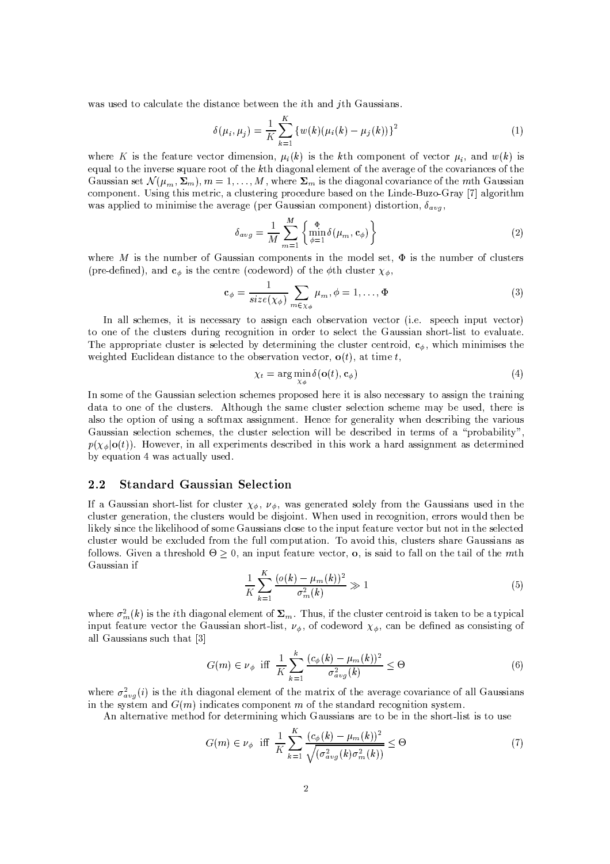was used to calculate the distance between the *i*th and *j*th Gaussians.

$$
\delta(\mu_i, \mu_j) = \frac{1}{K} \sum_{k=1}^{K} \left\{ w(k) (\mu_i(k) - \mu_j(k)) \right\}^2 \tag{1}
$$

where K is the feature vector dimension,  $\mu_i(k)$  is the kth component of vector  $\mu_i$ , and  $w(k)$  is equal to the inverse square root of the  $k$ th diagonal element of the average of the covariances of the Gaussian set  $\mathcal{N}(\mu_m, \Sigma_m)$ ,  $m = 1, ..., M$ , where  $\Sigma_m$  is the diagonal covariance of the mth Gaussian component. Using this metric, a clustering procedure based on the Linde-Buzo-Gray [7] algorithm was applied to minimise the average (per Gaussian component) distortion,  $\delta_{avg}$ ,

$$
\delta_{avg} = \frac{1}{M} \sum_{m=1}^{M} \left\{ \min_{\phi=1}^{\Phi} \delta(\mu_m, \mathbf{c}_{\phi}) \right\} \tag{2}
$$

where M is the number of Gaussian components in the model set,  $\Phi$  is the number of clusters (pre-defined), and  $c_{\phi}$  is the centre (codeword) of the  $\phi$ th cluster  $\chi_{\phi}$ ,

$$
\mathbf{c}_{\phi} = \frac{1}{size(\chi_{\phi})} \sum_{m \in \chi_{\phi}} \mu_m, \phi = 1, \dots, \Phi
$$
 (3)

In all schemes, it is necessary to assign each observation vector (i.e. speech input vector) to one of the clusters during recognition in order to select the Gaussian short-list to evaluate. The appropriate cluster is selected by determining the cluster centroid,  $c_{\phi}$ , which minimises the weighted Euclidean distance to the observation vector,  $o(t)$ , at time t,

$$
\chi_t = \arg\min_{\chi_{\phi}} \delta(\mathbf{o}(t), \mathbf{c}_{\phi})
$$
\n(4)

In some of the Gaussian selection schemes proposed here it is also necessary to assign the training data to one of the clusters. Although the same cluster selection scheme may be used, there is also the option of using a softmax assignment. Hence for generality when describing the various Gaussian selection schemes, the cluster selection will be described in terms of a "probability"  $p(\chi_{\phi}|\mathbf{o}(t))$ . However, in all experiments described in this work a hard assignment as determined by equation 4 was actually used.

#### $2.2$ **Standard Gaussian Selection**

If a Gaussian short-list for cluster  $\chi_{\phi}$ ,  $\nu_{\phi}$ , was generated solely from the Gaussians used in the cluster generation, the clusters would be disjoint. When used in recognition, errors would then be likely since the likelihood of some Gaussians close to the input feature vector but not in the selected cluster would be excluded from the full computation. To avoid this, clusters share Gaussians as follows. Given a threshold  $\Theta \geq 0$ , an input feature vector, **o**, is said to fall on the tail of the mth Gaussian if

$$
\frac{1}{K} \sum_{k=1}^{K} \frac{(o(k) - \mu_m(k))^2}{\sigma_m^2(k)} \gg 1
$$
\n(5)

where  $\sigma_m^2(k)$  is the *i*th diagonal element of  $\Sigma_m$ . Thus, if the cluster centroid is taken to be a typical input feature vector the Gaussian short-list,  $\nu_{\phi}$ , of codeword  $\chi_{\phi}$ , can be defined as consisting of all Gaussians such that [3]

$$
G(m) \in \nu_{\phi} \quad \text{iff} \quad \frac{1}{K} \sum_{k=1}^{k} \frac{(c_{\phi}(k) - \mu_m(k))^2}{\sigma_{avg}^2(k)} \leq \Theta \tag{6}
$$

where  $\sigma_{avg}^2(i)$  is the *i*th diagonal element of the matrix of the average covariance of all Gaussians in the system and  $G(m)$  indicates component m of the standard recognition system.

An alternative method for determining which Gaussians are to be in the short-list is to use

$$
G(m) \in \nu_{\phi} \text{ iff } \frac{1}{K} \sum_{k=1}^{K} \frac{(c_{\phi}(k) - \mu_m(k))^2}{\sqrt{(\sigma_{avg}^2(k)\sigma_m^2(k))}} \leq \Theta \tag{7}
$$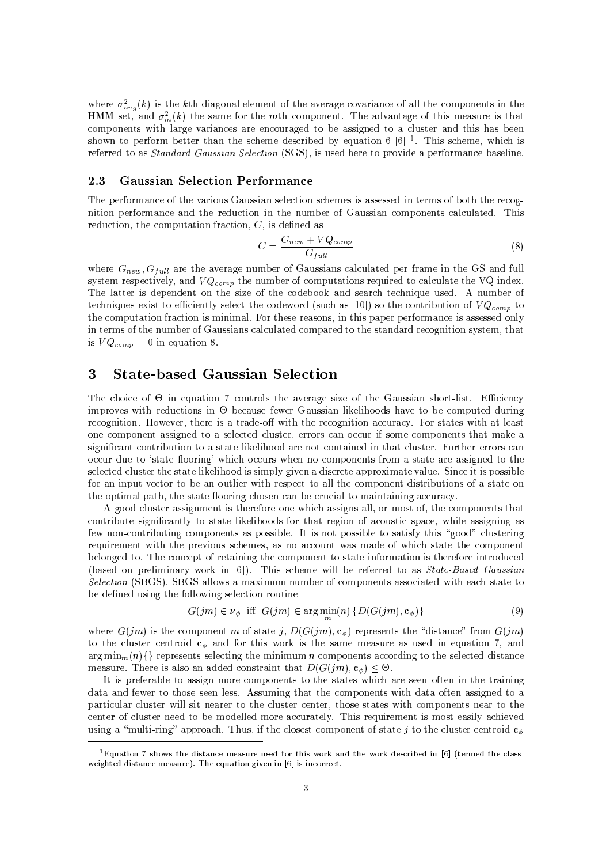where  $\sigma_{avg}^2(k)$  is the kth diagonal element of the average covariance of all the components in the HMM set, and  $\sigma_m^2(k)$  the same for the mth component. The advantage of this measure is that components with large variances are encouraged to be assigned to a cluster and this has been shown to perform better than the scheme described by equation 6 [6] <sup>1</sup>. This scheme, which is referred to as Standard Gaussian Selection (SGS), is used here to provide a performance baseline.

#### **Gaussian Selection Performance** 2.3

The performance of the various Gaussian selection schemes is assessed in terms of both the recognition performance and the reduction in the number of Gaussian components calculated. This reduction, the computation fraction,  $C$ , is defined as

$$
C = \frac{G_{new} + VQ_{comp}}{G_{full}}\tag{8}
$$

where  $G_{new}$ ,  $G_{full}$  are the average number of Gaussians calculated per frame in the GS and full system respectively, and  $VQ_{comp}$  the number of computations required to calculate the VQ index. The latter is dependent on the size of the codebook and search technique used. A number of techniques exist to efficiently select the codeword (such as [10]) so the contribution of  $VQ_{comp}$  to the computation fraction is minimal. For these reasons, in this paper performance is assessed only in terms of the number of Gaussians calculated compared to the standard recognition system, that is  $VQ_{comp} = 0$  in equation 8.

### **State-based Gaussian Selection** 3

The choice of  $\Theta$  in equation 7 controls the average size of the Gaussian short-list. Efficiency improves with reductions in  $\Theta$  because fewer Gaussian likelihoods have to be computed during recognition. However, there is a trade-off with the recognition accuracy. For states with at least one component assigned to a selected cluster, errors can occur if some components that make a significant contribution to a state likelihood are not contained in that cluster. Further errors can occur due to 'state flooring' which occurs when no components from a state are assigned to the selected cluster the state likelihood is simply given a discrete approximate value. Since it is possible for an input vector to be an outlier with respect to all the component distributions of a state on the optimal path, the state flooring chosen can be crucial to maintaining accuracy.

A good cluster assignment is therefore one which assigns all, or most of, the components that contribute significantly to state likelihoods for that region of acoustic space, while assigning as few non-contributing components as possible. It is not possible to satisfy this "good" clustering requirement with the previous schemes, as no account was made of which state the component belonged to. The concept of retaining the component to state information is therefore introduced (based on preliminary work in [6]). This scheme will be referred to as State-Based Gaussian Selection (SBGS). SBGS allows a maximum number of components associated with each state to be defined using the following selection routine

$$
G(jm) \in \nu_{\phi} \text{ iff } G(jm) \in \arg\min_{m}(n) \{D(G(jm), \mathbf{c}_{\phi})\} \tag{9}
$$

where  $G(jm)$  is the component m of state j,  $D(G(jm), \mathbf{c}_{\phi})$  represents the "distance" from  $G(jm)$ to the cluster centroid  $c_{\phi}$  and for this work is the same measure as used in equation 7, and  $\arg \min_{m} \{n\}$  represents selecting the minimum *n* components according to the selected distance measure. There is also an added constraint that  $D(G(im), c_{\phi}) < \Theta$ .

It is preferable to assign more components to the states which are seen often in the training data and fewer to those seen less. Assuming that the components with data often assigned to a particular cluster will sit nearer to the cluster center, those states with components near to the center of cluster need to be modelled more accurately. This requirement is most easily achieved using a "multi-ring" approach. Thus, if the closest component of state j to the cluster centroid  $c_{\phi}$ 

<sup>&</sup>lt;sup>1</sup>Equation 7 shows the distance measure used for this work and the work described in [6] (termed the classweighted distance measure). The equation given in [6] is incorrect.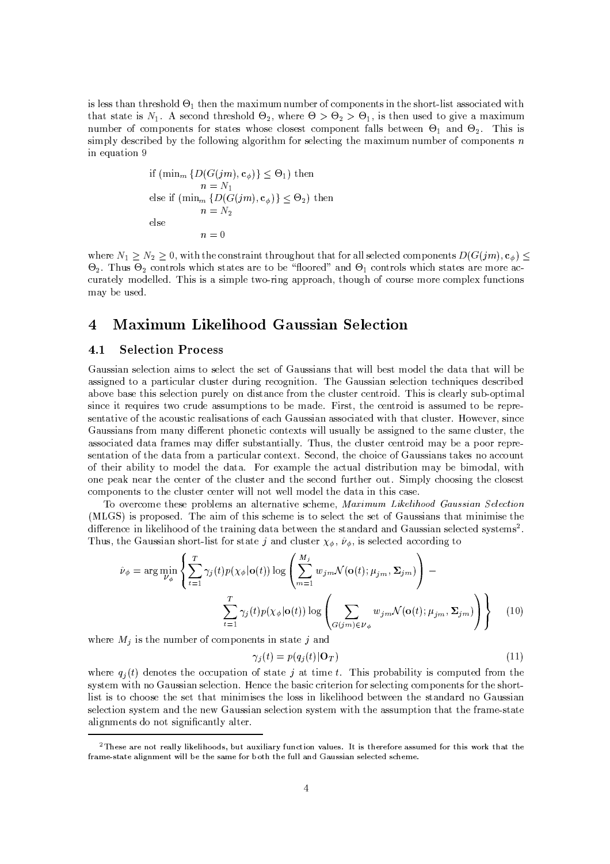is less than threshold  $\Theta_1$  then the maximum number of components in the short-list associated with that state is  $N_1$ . A second threshold  $\Theta_2$ , where  $\Theta > \Theta_2 > \Theta_1$ , is then used to give a maximum number of components for states whose closest component falls between  $\Theta_1$  and  $\Theta_2$ . This is simply described by the following algorithm for selecting the maximum number of components  $n$ in equation 9

if 
$$
(\min_m \{D(G(jm), \mathbf{c}_{\phi})\} \leq \Theta_1)
$$
 then  
\n $n = N_1$   
\nelse if  $(\min_m \{D(G(jm), \mathbf{c}_{\phi})\} \leq \Theta_2)$  then  
\n $n = N_2$   
\nelse  
\n $n = 0$ 

where  $N_1 \ge N_2 \ge 0$ , with the constraint throughout that for all selected components  $D(G(jm), c_0) \le$  $\Theta_2$ . Thus  $\Theta_2$  controls which states are to be "floored" and  $\Theta_1$  controls which states are more accurately modelled. This is a simple two-ring approach, though of course more complex functions may be used.

### **Maximum Likelihood Gaussian Selection** 4

#### $4.1$ **Selection Process**

Gaussian selection aims to select the set of Gaussians that will best model the data that will be assigned to a particular cluster during recognition. The Gaussian selection techniques described above base this selection purely on distance from the cluster centroid. This is clearly sub-optimal since it requires two crude assumptions to be made. First, the centroid is assumed to be representative of the acoustic realisations of each Gaussian associated with that cluster. However, since Gaussians from many different phonetic contexts will usually be assigned to the same cluster, the associated data frames may differ substantially. Thus, the cluster centroid may be a poor representation of the data from a particular context. Second, the choice of Gaussians takes no account of their ability to model the data. For example the actual distribution may be bimodal, with one peak near the center of the cluster and the second further out. Simply choosing the closest components to the cluster center will not well model the data in this case.

To overcome these problems an alternative scheme, Maximum Likelihood Gaussian Selection (MLGS) is proposed. The aim of this scheme is to select the set of Gaussians that minimise the difference in likelihood of the training data between the standard and Gaussian selected systems<sup>2</sup>. Thus, the Gaussian short-list for state j and cluster  $\chi_{\phi}$ ,  $\hat{\nu}_{\phi}$ , is selected according to

$$
\hat{\nu}_{\phi} = \arg \min_{\nu_{\phi}} \left\{ \sum_{t=1}^{T} \gamma_j(t) p(\chi_{\phi} | \mathbf{o}(t)) \log \left( \sum_{m=1}^{M_j} w_{jm} \mathcal{N}(\mathbf{o}(t); \mu_{jm}, \Sigma_{jm}) \right) - \sum_{t=1}^{T} \gamma_j(t) p(\chi_{\phi} | \mathbf{o}(t)) \log \left( \sum_{G(jm) \in \nu_{\phi}} w_{jm} \mathcal{N}(\mathbf{o}(t); \mu_{jm}, \Sigma_{jm}) \right) \right\}
$$
(10)

where  $M_j$  is the number of components in state j and

$$
\gamma_j(t) = p(q_j(t)|\mathbf{O}_T) \tag{11}
$$

where  $q_i(t)$  denotes the occupation of state j at time t. This probability is computed from the system with no Gaussian selection. Hence the basic criterion for selecting components for the shortlist is to choose the set that minimises the loss in likelihood between the standard no Gaussian selection system and the new Gaussian selection system with the assumption that the frame-state alignments do not significantly alter.

<sup>&</sup>lt;sup>2</sup>These are not really likelihoods, but auxiliary function values. It is therefore assumed for this work that the frame-state alignment will be the same for both the full and Gaussian selected scheme.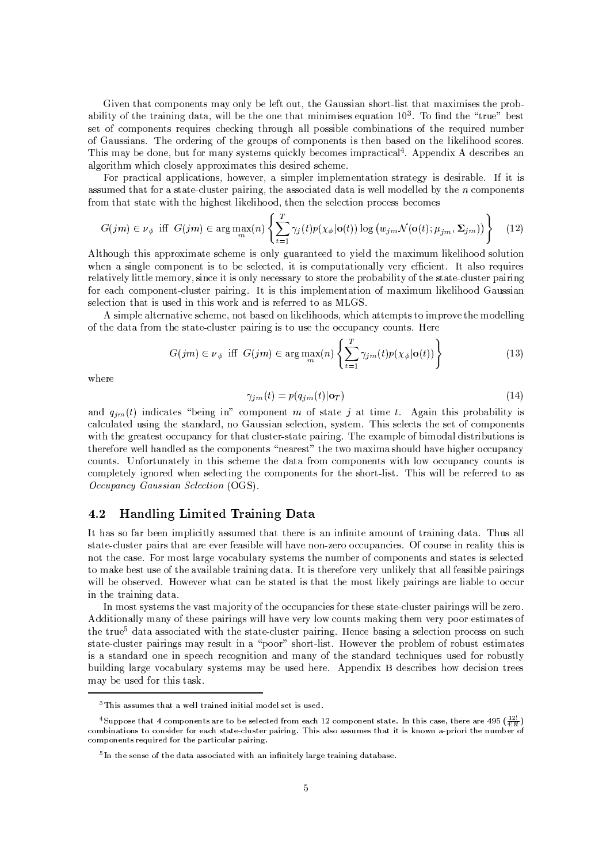Given that components may only be left out, the Gaussian short-list that maximises the probability of the training data, will be the one that minimises equation  $10^3$ . To find the "true" best set of components requires checking through all possible combinations of the required number of Gaussians. The ordering of the groups of components is then based on the likelihood scores. This may be done, but for many systems quickly becomes impractical<sup>4</sup>. Appendix A describes an algorithm which closely approximates this desired scheme.

For practical applications, however, a simpler implementation strategy is desirable. If it is assumed that for a state-cluster pairing, the associated data is well modelled by the *n* components from that state with the highest likelihood, then the selection process becomes

$$
G(jm) \in \nu_{\phi} \text{ iff } G(jm) \in \arg\max_{m} (n) \left\{ \sum_{t=1}^{T} \gamma_j(t) p(\chi_{\phi} | \mathbf{o}(t)) \log (w_{jm} \mathcal{N}(\mathbf{o}(t); \mu_{jm}, \Sigma_{jm})) \right\} \tag{12}
$$

Although this approximate scheme is only guaranteed to yield the maximum likelihood solution when a single component is to be selected, it is computationally very efficient. It also requires relatively little memory, since it is only necessary to store the probability of the state-cluster pairing for each component-cluster pairing. It is this implementation of maximum likelihood Gaussian selection that is used in this work and is referred to as MLGS.

A simple alternative scheme, not based on likelihoods, which attempts to improve the modelling of the data from the state-cluster pairing is to use the occupancy counts. Here

$$
G(jm) \in \nu_{\phi} \text{ iff } G(jm) \in \arg\max_{m} (n) \left\{ \sum_{t=1}^{T} \gamma_{jm}(t) p(\chi_{\phi} | \mathbf{o}(t)) \right\} \tag{13}
$$

where

$$
\gamma_{j m}(t) = p(q_{j m}(t) | \mathbf{o}_T) \tag{14}
$$

and  $q_{jm}(t)$  indicates "being in" component m of state j at time t. Again this probability is calculated using the standard, no Gaussian selection, system. This selects the set of components with the greatest occupancy for that cluster-state pairing. The example of bimodal distributions is therefore well handled as the components "nearest" the two maxima should have higher occupancy counts. Unfortunately in this scheme the data from components with low occupancy counts is completely ignored when selecting the components for the short-list. This will be referred to as Occupancy Gaussian Selection (OGS).

#### 4.2 Handling Limited Training Data

It has so far been implicitly assumed that there is an infinite amount of training data. Thus all state-cluster pairs that are ever feasible will have non-zero occupancies. Of course in reality this is not the case. For most large vocabulary systems the number of components and states is selected to make best use of the available training data. It is therefore very unlikely that all feasible pairings will be observed. However what can be stated is that the most likely pairings are liable to occur in the training data.

In most systems the vast majority of the occupancies for these state-cluster pairings will be zero. Additionally many of these pairings will have very low counts making them very poor estimates of the true<sup>5</sup> data associated with the state-cluster pairing. Hence basing a selection process on such state-cluster pairings may result in a "poor" short-list. However the problem of robust estimates is a standard one in speech recognition and many of the standard techniques used for robustly building large vocabulary systems may be used here. Appendix B describes how decision trees may be used for this task.

<sup>&</sup>lt;sup>3</sup>This assumes that a well trained initial model set is used.

<sup>&</sup>lt;sup>4</sup> Suppose that 4 components are to be selected from each 12 component state. In this case, there are 495  $(\frac{2!}{4!8!})$ combinations to consider for each state-cluster pairing. This also assumes that it is known a-priori the number of components required for the particular pairing.

 ${}^{5}$ In the sense of the data associated with an infinitely large training database.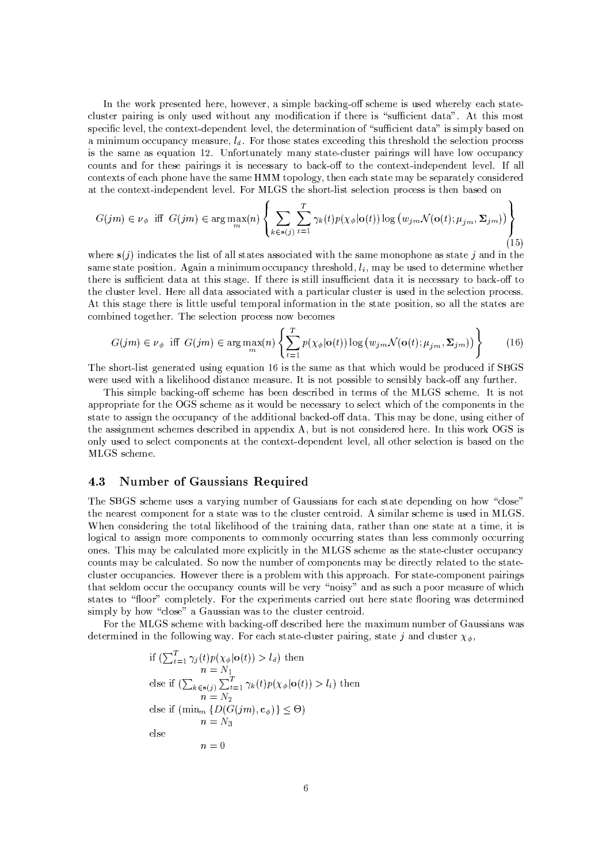In the work presented here, however, a simple backing-off scheme is used whereby each statecluster pairing is only used without any modification if there is "sufficient data". At this most specific level, the context-dependent level, the determination of "sufficient data" is simply based on a minimum occupancy measure,  $l_d$ . For those states exceeding this threshold the selection process is the same as equation 12. Unfortunately many state-cluster pairings will have low occupancy counts and for these pairings it is necessary to back-off to the context-independent level. If all contexts of each phone have the same HMM topology, then each state may be separately considered at the context-independent level. For MLGS the short-list selection process is then based on

$$
G(jm) \in \nu_{\phi} \text{ iff } G(jm) \in \arg\max_{m} (n) \left\{ \sum_{k \in \mathbf{s}(j)} \sum_{t=1}^{T} \gamma_k(t) p(\chi_{\phi} | \mathbf{o}(t)) \log (w_{jm} \mathcal{N}(\mathbf{o}(t); \mu_{jm}, \Sigma_{jm})) \right\}
$$
(15)

where  $s(j)$  indicates the list of all states associated with the same monophone as state j and in the same state position. Again a minimum occupancy threshold,  $l_i$ , may be used to determine whether there is sufficient data at this stage. If there is still insufficient data it is necessary to back-off to the cluster level. Here all data associated with a particular cluster is used in the selection process. At this stage there is little useful temporal information in the state position, so all the states are combined together. The selection process now becomes

$$
G(jm) \in \nu_{\phi} \text{ iff } G(jm) \in \arg\max_{m} (n) \left\{ \sum_{t=1}^{T} p(\chi_{\phi} | \mathbf{o}(t)) \log (w_{jm} \mathcal{N}(\mathbf{o}(t); \mu_{jm}, \Sigma_{jm})) \right\} \tag{16}
$$

The short-list generated using equation 16 is the same as that which would be produced if SBGS were used with a likelihood distance measure. It is not possible to sensibly back-off any further.

This simple backing-off scheme has been described in terms of the MLGS scheme. It is not appropriate for the OGS scheme as it would be necessary to select which of the components in the state to assign the occupancy of the additional backed-off data. This may be done, using either of the assignment schemes described in appendix A, but is not considered here. In this work OGS is only used to select components at the context-dependent level, all other selection is based on the MLGS scheme.

#### **Number of Gaussians Required** 4.3

The SBGS scheme uses a varying number of Gaussians for each state depending on how "close" the nearest component for a state was to the cluster centroid. A similar scheme is used in MLGS. When considering the total likelihood of the training data, rather than one state at a time, it is logical to assign more components to commonly occurring states than less commonly occurring ones. This may be calculated more explicitly in the MLGS scheme as the state-cluster occupancy counts may be calculated. So now the number of components may be directly related to the statecluster occupancies. However there is a problem with this approach. For state-component pairings that seldom occur the occupancy counts will be very "noisy" and as such a poor measure of which states to "floor" completely. For the experiments carried out here state flooring was determined simply by how "close" a Gaussian was to the cluster centroid.

For the MLGS scheme with backing-off described here the maximum number of Gaussians was determined in the following way. For each state-cluster pairing, state j and cluster  $\chi_{\phi}$ ,

if 
$$
\left(\sum_{t=1}^{T} \gamma_j(t)p(\chi_{\phi}|\mathbf{o}(t)) > l_d\right)
$$
 then  
\n
$$
n = N_1
$$
  
\nelse if 
$$
\left(\sum_{k \in \mathbf{s}(j)} \sum_{t=1}^{T} \gamma_k(t)p(\chi_{\phi}|\mathbf{o}(t)) > l_i\right)
$$
 then  
\n
$$
n = N_2
$$
  
\nelse if 
$$
\left(\min_m \{D(G(jm), \mathbf{c}_{\phi})\} \leq \Theta\right)
$$
  
\n
$$
n = N_3
$$
  
\nelse  
\n
$$
n = 0
$$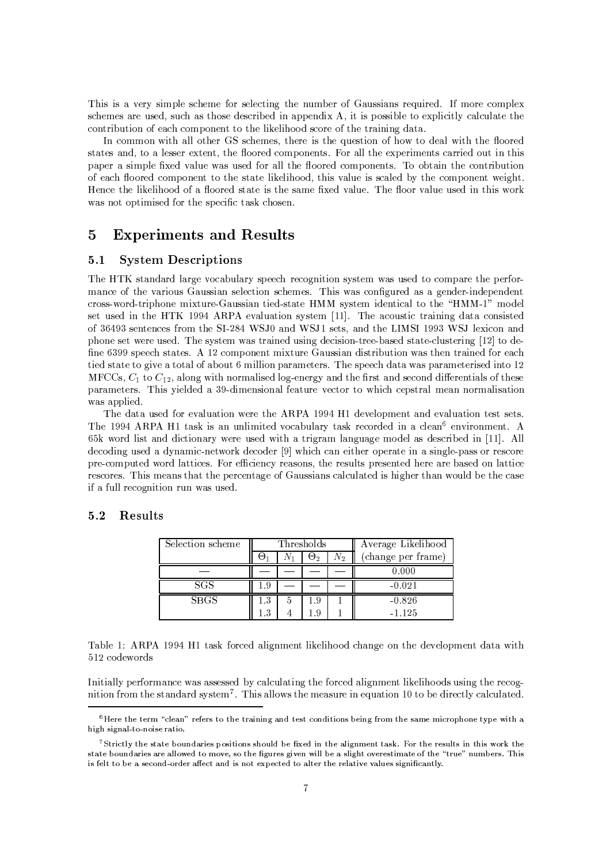This is a very simple scheme for selecting the number of Gaussians required. If more complex schemes are used, such as those described in appendix A, it is possible to explicitly calculate the contribution of each component to the likelihood score of the training data.

In common with all other GS schemes, there is the question of how to deal with the floored states and, to a lesser extent, the floored components. For all the experiments carried out in this paper a simple fixed value was used for all the floored components. To obtain the contribution of each floored component to the state likelihood, this value is scaled by the component weight. Hence the likelihood of a floored state is the same fixed value. The floor value used in this work was not optimised for the specific task chosen.

## $\overline{5}$ **Experiments and Results**

#### **System Descriptions**  $5.1$

The HTK standard large vocabulary speech recognition system was used to compare the performance of the various Gaussian selection schemes. This was configured as a gender-independent cross-word-triphone mixture-Gaussian tied-state HMM system identical to the "HMM-1" model set used in the HTK 1994 ARPA evaluation system [11]. The acoustic training data consisted of 36493 sentences from the SI-284 WSJ0 and WSJ1 sets, and the LIMSI 1993 WSJ lexicon and phone set were used. The system was trained using decision-tree-based state-clustering [12] to define 6399 speech states. A 12 component mixture Gaussian distribution was then trained for each tied state to give a total of about 6 million parameters. The speech data was parameterised into 12 MFCCs,  $C_1$  to  $C_1$ , along with normalised log-energy and the first and second differentials of these parameters. This yielded a 39-dimensional feature vector to which cepstral mean normalisation was applied.

The data used for evaluation were the ARPA 1994 H1 development and evaluation test sets. The 1994 ARPA H1 task is an unlimited vocabulary task recorded in a clean<sup>6</sup> environment. A 65k word list and dictionary were used with a trigram language model as described in [11]. All decoding used a dynamic-network decoder [9] which can either operate in a single-pass or rescore pre-computed word lattices. For efficiency reasons, the results presented here are based on lattice rescores. This means that the percentage of Gaussians calculated is higher than would be the case if a full recognition run was used.

#### $5.2$ **Results**

| Selection scheme |             |   | Thresholds |  | Average Likelihood |
|------------------|-------------|---|------------|--|--------------------|
|                  | $N_2$<br>ロッ |   |            |  | (change per frame) |
|                  |             |   |            |  | 0.000              |
|                  |             |   |            |  |                    |
| SGS              | - 9         |   |            |  | $-0.021$           |
| <b>SBGS</b>      | 1.3         | ā | -9         |  | $-0.826$           |

Table 1: ARPA 1994 H1 task forced alignment likelihood change on the development data with 512 codewords

Initially performance was assessed by calculating the forced alignment likelihoods using the recognition from the standard system<sup>7</sup>. This allows the measure in equation 10 to be directly calculated.

<sup>&</sup>lt;sup>6</sup>Here the term "clean" refers to the training and test conditions being from the same microphone type with a high signal-to-noise ratio.

<sup>&</sup>lt;sup>7</sup>Strictly the state boundaries positions should be fixed in the alignment task. For the results in this work the state boundaries are allowed to move, so the figures given will be a slight overestimate of the "true" numbers. This is felt to be a second-order affect and is not expected to alter the relative values significantly.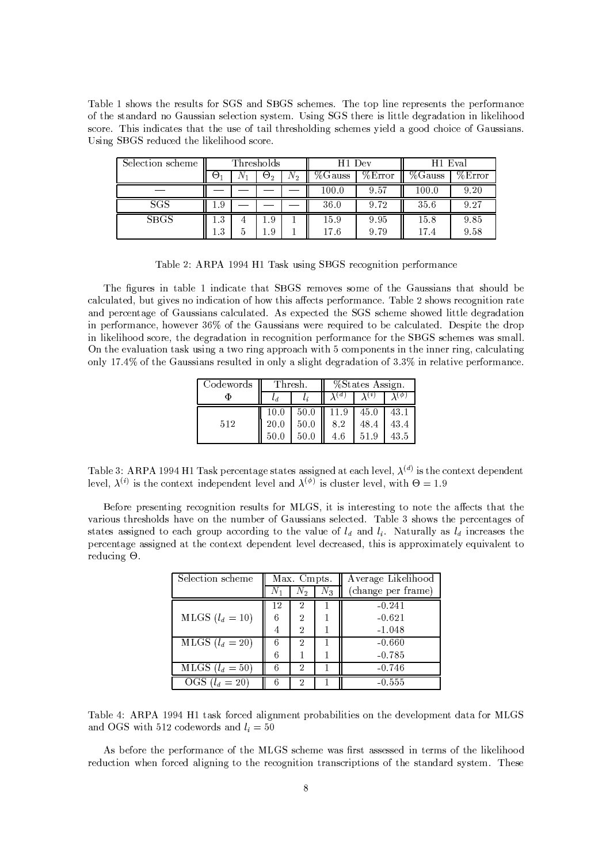Table 1 shows the results for SGS and SBGS schemes. The top line represents the performance of the standard no Gaussian selection system. Using SGS there is little degradation in likelihood score. This indicates that the use of tail thresholding schemes yield a good choice of Gaussians. Using SBGS reduced the likelihood score.

| Selection scheme | Thresholds          |  |            | H <sub>1</sub> Dev |            | H <sub>1</sub> Eval |            |            |
|------------------|---------------------|--|------------|--------------------|------------|---------------------|------------|------------|
|                  | $\Theta_1$          |  | $\Theta_2$ | $N_{2}$            | $\%$ Gauss | %Error              | $\%$ Gauss | $\%$ Error |
|                  |                     |  |            |                    | 100.0      | 9.57                | 100.0      | 9.20       |
| SGS              | . . 9               |  |            |                    | 36.0       | 9.72                | 35.6       | 9.27       |
| <b>SBGS</b>      | - 9                 |  | . . 9      |                    | 15.9       | 9.95                | 15.8       | 9.85       |
|                  | $\mathbf{Q}$<br>L.J |  | .9         |                    | 17.6       | 9.79                | 17.4       | 9.58       |

Table 2: ARPA 1994 H1 Task using SBGS recognition performance

The figures in table 1 indicate that SBGS removes some of the Gaussians that should be calculated, but gives no indication of how this affects performance. Table 2 shows recognition rate and percentage of Gaussians calculated. As expected the SGS scheme showed little degradation in performance, however 36% of the Gaussians were required to be calculated. Despite the drop in likelihood score, the degradation in recognition performance for the SBGS schemes was small. On the evaluation task using a two ring approach with 5 components in the inner ring, calculating only 17.4% of the Gaussians resulted in only a slight degradation of 3.3% in relative performance.

| Codewords | Thresh.  |      | %States Assign. |      |      |  |
|-----------|----------|------|-----------------|------|------|--|
|           |          |      |                 |      | φ    |  |
|           | $10.0\,$ | 50.0 | 11.9            | 45.0 | 43.1 |  |
| 512       | 20.0     | 50.0 | 8.2             | 48.4 | 43.4 |  |
|           |          |      | 4.6             |      | 43.5 |  |

Table 3: ARPA 1994 H1 Task percentage states assigned at each level,  $\lambda^{(d)}$  is the context dependent level,  $\lambda^{(i)}$  is the context independent level and  $\lambda^{(\phi)}$  is cluster level, with  $\Theta = 1.9$ 

Before presenting recognition results for MLGS, it is interesting to note the affects that the various thresholds have on the number of Gaussians selected. Table 3 shows the percentages of states assigned to each group according to the value of  $l_d$  and  $l_i$ . Naturally as  $l_d$  increases the percentage assigned at the context dependent level decreased, this is approximately equivalent to reducing O.

| Selection scheme  | Max. Cmpts. |       |       | Average Likelihood |  |  |
|-------------------|-------------|-------|-------|--------------------|--|--|
|                   |             | $N_2$ | $N_3$ | (change per frame) |  |  |
|                   | 12          | 2     |       | $-0.241$           |  |  |
| MLGS $(l_d = 10)$ |             | 2     |       | $-0.621$           |  |  |
|                   | 4           | 2     |       | $-1.048$           |  |  |
| MLGS $(l_d = 20)$ |             | 2     |       | $-0.660$           |  |  |
|                   | 6           |       |       | $-0.785$           |  |  |
| MLGS $(l_d = 50)$ |             | 2     |       | $-0.746$           |  |  |
| OGS $(l_d = 20)$  |             | 2     |       | $-0.555$           |  |  |

Table 4: ARPA 1994 H1 task forced alignment probabilities on the development data for MLGS and OGS with 512 codewords and  $l_i = 50$ 

As before the performance of the MLGS scheme was first assessed in terms of the likelihood reduction when forced aligning to the recognition transcriptions of the standard system. These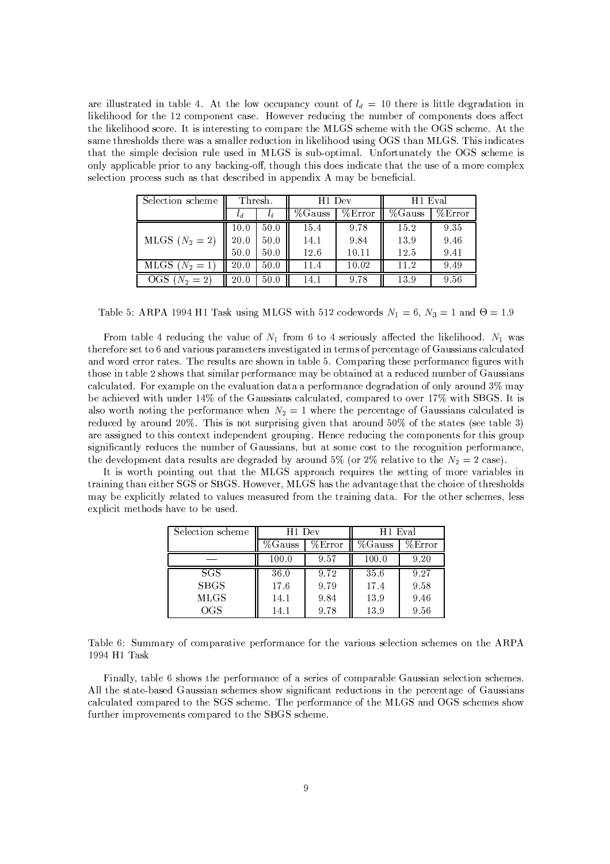are illustrated in table 4. At the low occupancy count of  $l_d = 10$  there is little degradation in likelihood for the 12 component case. However reducing the number of components does affect the likelihood score. It is interesting to compare the MLGS scheme with the OGS scheme. At the same thresholds there was a smaller reduction in likelihood using OGS than MLGS. This indicates that the simple decision rule used in MLGS is sub-optimal. Unfortunately the OGS scheme is only applicable prior to any backing-off, though this does indicate that the use of a more complex selection process such as that described in appendix A may be beneficial.

| Selection scheme    | Thresh. |         | H <sub>1</sub> Dev |        | H <sub>1</sub> Eval |        |
|---------------------|---------|---------|--------------------|--------|---------------------|--------|
|                     | $^{t}d$ | $l_{i}$ | $\%$ Gauss         | %Error | $\sqrt[6]{6}$ auss  | %Error |
|                     | 10.0    | 50.0    | 15.4               | 9.78   | 15.2                | 9.35   |
| MLGS $(N_2 = 2)$    | 20.0    | 50.0    | 14.1               | 9.84   | 13.9                | 9.46   |
|                     | 50.0    | 50.0    | 12.6               | 10.11  | 12.5                | 9.41   |
| MLGS $(N_2 = 1)$    | 20.0    | 50.0    | 11.4               | 10.02  | $11.2\,$            | 9.49   |
| OGS<br>$=2$<br>V 2. | 20.0    | 50.0    | 14.1               | 9.78   | 13.9                | 9.56   |

Table 5: ARPA 1994 H1 Task using MLGS with 512 codewords  $N_1 = 6$ ,  $N_3 = 1$  and  $\Theta = 1.9$ 

From table 4 reducing the value of  $N_1$  from 6 to 4 seriously affected the likelihood.  $N_1$  was therefore set to 6 and various parameters investigated in terms of percentage of Gaussians calculated and word error rates. The results are shown in table 5. Comparing these performance figures with those in table 2 shows that similar performance may be obtained at a reduced number of Gaussians calculated. For example on the evaluation data a performance degradation of only around 3% may be achieved with under 14% of the Gaussians calculated, compared to over 17% with SBGS. It is also worth noting the performance when  $N_2 = 1$  where the percentage of Gaussians calculated is reduced by around 20%. This is not surprising given that around 50% of the states (see table 3) are assigned to this context independent grouping. Hence reducing the components for this group significantly reduces the number of Gaussians, but at some cost to the recognition performance, the development data results are degraded by around 5% (or 2% relative to the  $N_2 = 2$  case).

It is worth pointing out that the MLGS approach requires the setting of more variables in training than either SGS or SBGS. However, MLGS has the advantage that the choice of thresholds may be explicitly related to values measured from the training data. For the other schemes, less explicit methods have to be used.

| Selection scheme | H <sub>1</sub> Dev |        | H <sub>1</sub> Eval |        |  |
|------------------|--------------------|--------|---------------------|--------|--|
|                  | %Gauss             | %Error | %Gauss              | %Error |  |
|                  | 100.0              | 9.57   | 100.0               | 9.20   |  |
| <b>SGS</b>       | 36.0               | 9.72   | 35.6                | 9.27   |  |
| <b>SBGS</b>      | 17.6               | 9.79   | 17.4                | 9.58   |  |
| <b>MLGS</b>      | 14.1               | 9.84   | 13.9                | 9.46   |  |
| OGS              | 14.1               | 9.78   | 13.9                | 9.56   |  |

Table 6: Summary of comparative performance for the various selection schemes on the ARPA 1994 H1 Task

Finally, table 6 shows the performance of a series of comparable Gaussian selection schemes. All the state-based Gaussian schemes show significant reductions in the percentage of Gaussians calculated compared to the SGS scheme. The performance of the MLGS and OGS schemes show further improvements compared to the SBGS scheme.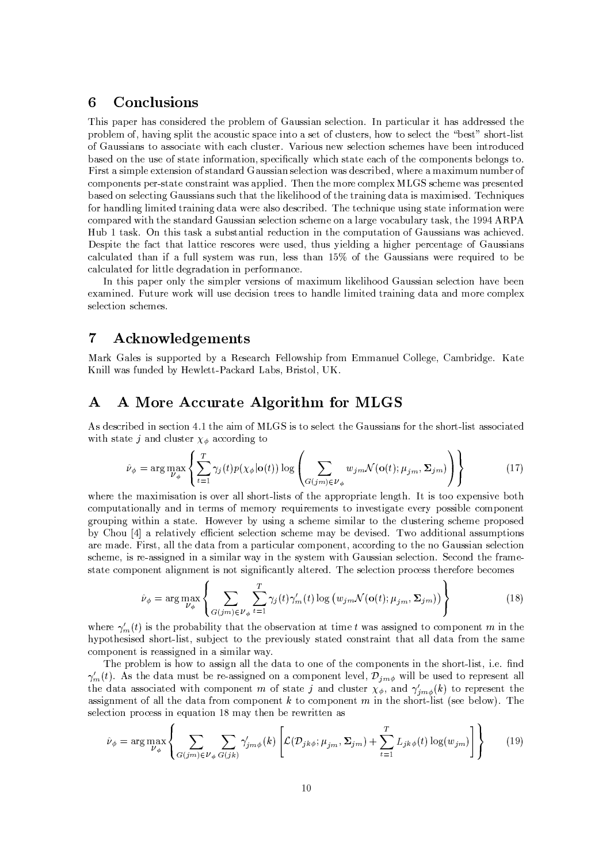## Conclusions  $6\phantom{1}6$

This paper has considered the problem of Gaussian selection. In particular it has addressed the problem of, having split the acoustic space into a set of clusters, how to select the "best" short-list of Gaussians to associate with each cluster. Various new selection schemes have been introduced based on the use of state information, specifically which state each of the components belongs to. First a simple extension of standard Gaussian selection was described, where a maximum number of components per-state constraint was applied. Then the more complex MLGS scheme was presented based on selecting Gaussians such that the likelihood of the training data is maximised. Techniques for handling limited training data were also described. The technique using state information were compared with the standard Gaussian selection scheme on a large vocabulary task, the 1994 ARPA Hub 1 task. On this task a substantial reduction in the computation of Gaussians was achieved. Despite the fact that lattice rescores were used, thus yielding a higher percentage of Gaussians calculated than if a full system was run, less than 15% of the Gaussians were required to be calculated for little degradation in performance.

In this paper only the simpler versions of maximum likelihood Gaussian selection have been examined. Future work will use decision trees to handle limited training data and more complex selection schemes

## $\overline{7}$ Acknowledgements

Mark Gales is supported by a Research Fellowship from Emmanuel College, Cambridge. Kate Knill was funded by Hewlett-Packard Labs, Bristol, UK.

## A More Accurate Algorithm for MLGS Α

As described in section 4.1 the aim of MLGS is to select the Gaussians for the short-list associated with state j and cluster  $\chi_{\phi}$  according to

$$
\hat{\nu}_{\phi} = \arg \max_{\nu_{\phi}} \left\{ \sum_{t=1}^{T} \gamma_j(t) p(\chi_{\phi} | \mathbf{o}(t)) \log \left( \sum_{G(jm) \in \nu_{\phi}} w_{jm} \mathcal{N}(\mathbf{o}(t); \mu_{jm}, \Sigma_{jm}) \right) \right\}
$$
(17)

where the maximisation is over all short-lists of the appropriate length. It is too expensive both computationally and in terms of memory requirements to investigate every possible component grouping within a state. However by using a scheme similar to the clustering scheme proposed by Chou [4] a relatively efficient selection scheme may be devised. Two additional assumptions are made. First, all the data from a particular component, according to the no Gaussian selection scheme, is re-assigned in a similar way in the system with Gaussian selection. Second the framestate component alignment is not significantly altered. The selection process therefore becomes

$$
\hat{\nu}_{\phi} = \arg \max_{\nu_{\phi}} \left\{ \sum_{G(jm) \in \nu_{\phi}} \sum_{t=1}^{T} \gamma_j(t) \gamma_m'(t) \log (w_{jm} \mathcal{N}(\mathbf{o}(t); \mu_{jm}, \Sigma_{jm})) \right\}
$$
(18)

where  $\gamma'_m(t)$  is the probability that the observation at time t was assigned to component m in the hypothesised short-list, subject to the previously stated constraint that all data from the same component is reassigned in a similar way.

The problem is how to assign all the data to one of the components in the short-list, i.e. find  $\gamma'_m(t)$ . As the data must be re-assigned on a component level,  $\mathcal{D}_{jm\phi}$  will be used to represent all the data associated with component m of state j and cluster  $\chi_{\phi}$ , and  $\gamma'_{jm\phi}(k)$  to represent the assignment of all the data from component  $k$  to component  $m$  in the short-list (see below). The selection process in equation 18 may then be rewritten as

$$
\hat{\nu}_{\phi} = \arg \max_{\nu_{\phi}} \left\{ \sum_{G(jm) \in \nu_{\phi}} \sum_{G(jk)} \gamma'_{jm\phi}(k) \left[ \mathcal{L}(\mathcal{D}_{jk\phi}; \mu_{jm}, \Sigma_{jm}) + \sum_{t=1}^{T} L_{jk\phi}(t) \log(w_{jm}) \right] \right\} \tag{19}
$$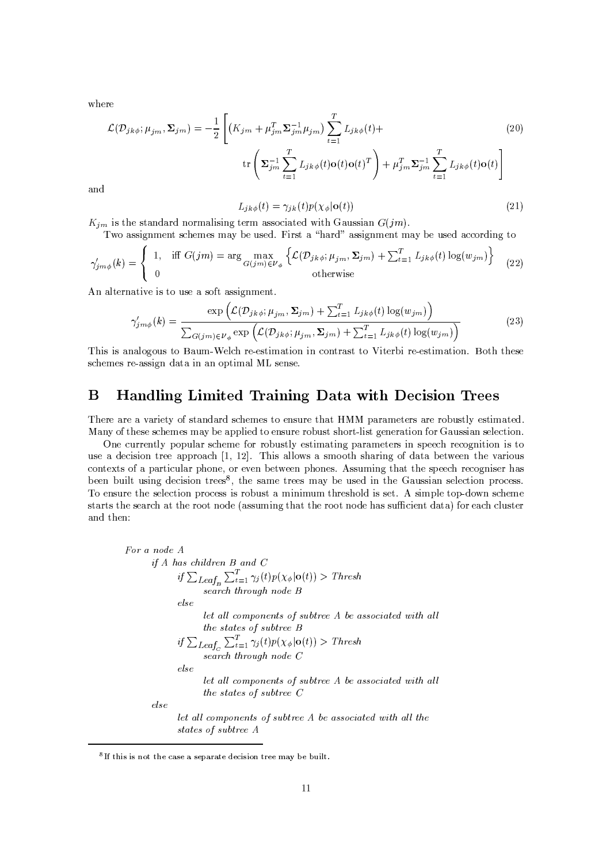where

$$
\mathcal{L}(\mathcal{D}_{jk\phi}; \mu_{jm}, \Sigma_{jm}) = -\frac{1}{2} \left[ \left( K_{jm} + \mu_{jm}^T \Sigma_{jm}^{-1} \mu_{jm} \right) \sum_{t=1}^T L_{jk\phi}(t) + \text{tr} \left( \Sigma_{jm}^{-1} \sum_{t=1}^T L_{jk\phi}(t) \mathbf{o}(t) \mathbf{o}(t)^T \right) + \mu_{jm}^T \Sigma_{jm}^{-1} \sum_{t=1}^T L_{jk\phi}(t) \mathbf{o}(t) \right]
$$
\n(20)

and

$$
L_{jk\phi}(t) = \gamma_{jk}(t)p(\chi_{\phi}|\mathbf{o}(t))
$$
\n(21)

 $K_{im}$  is the standard normalising term associated with Gaussian  $G(im)$ .

Two assignment schemes may be used. First a "hard" assignment may be used according to

$$
\gamma'_{jm\phi}(k) = \begin{cases} 1, & \text{iff } G(jm) = \arg\max_{G(jm)\in\mathcal{V}_{\phi}} \left\{ \mathcal{L}(\mathcal{D}_{jk\phi}; \mu_{jm}, \Sigma_{jm}) + \sum_{t=1}^{T} L_{jk\phi}(t) \log(w_{jm}) \right\} \\ 0 & \text{otherwise} \end{cases}
$$
(22)

An alternative is to use a soft assignment.

$$
\gamma'_{jm\phi}(k) = \frac{\exp\left(\mathcal{L}(\mathcal{D}_{jk\phi}; \mu_{jm}, \Sigma_{jm}) + \sum_{t=1}^{T} L_{jk\phi}(t) \log(w_{jm})\right)}{\sum_{G(jm)\in\mathcal{V}_{\phi}} \exp\left(\mathcal{L}(\mathcal{D}_{jk\phi}; \mu_{jm}, \Sigma_{jm}) + \sum_{t=1}^{T} L_{jk\phi}(t) \log(w_{jm})\right)}
$$
(23)

This is analogous to Baum-Welch re-estimation in contrast to Viterbi re-estimation. Both these schemes re-assign data in an optimal ML sense.

## B Handling Limited Training Data with Decision Trees

There are a variety of standard schemes to ensure that HMM parameters are robustly estimated. Many of these schemes may be applied to ensure robust short-list generation for Gaussian selection.

One currently popular scheme for robustly estimating parameters in speech recognition is to use a decision tree approach [1, 12]. This allows a smooth sharing of data between the various contexts of a particular phone, or even between phones. Assuming that the speech recogniser has been built using decision trees<sup>8</sup>, the same trees may be used in the Gaussian selection process. To ensure the selection process is robust a minimum threshold is set. A simple top-down scheme starts the search at the root node (assuming that the root node has sufficient data) for each cluster and then:

For a node A  
\nif A has children B and C  
\nif 
$$
\sum_{Leaf_B} \sum_{t=1}^{T} \gamma_j(t) p(\chi_{\phi} | \mathbf{o}(t)) >
$$
 *Thresh*  
\n*search through node B*  
\n*else*  
\nlet all components of subtree A be associated with all  
\n*the states of subtree B*  
\nif  $\sum_{Leaf_C} \sum_{t=1}^{T} \gamma_j(t) p(\chi_{\phi} | \mathbf{o}(t)) >$  *Thresh*  
\n*search through node C*  
\n*else*  
\nlet all components of subtree A be associated with all  
\n*the states of subtree C*  
\n*let all components of subtree A be associated with all the  
\n*states of subtree A**

<sup>&</sup>lt;sup>8</sup>If this is not the case a separate decision tree may be built.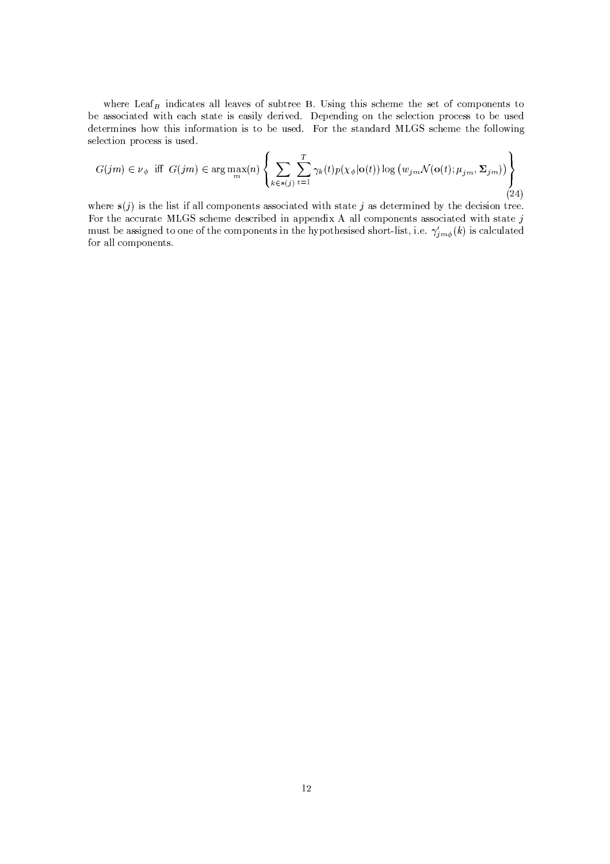where  $\text{Leaf}_B$  indicates all leaves of subtree B. Using this scheme the set of components to be associated with each state is easily derived. Depending on the selection process to be used determines how this information is to be used. For the standard MLGS scheme the following selection process is used.

$$
G(jm) \in \nu_{\phi} \text{ iff } G(jm) \in \arg\max_{m} (n) \left\{ \sum_{k \in s(j)} \sum_{t=1}^{T} \gamma_k(t) p(\chi_{\phi} | \mathbf{o}(t)) \log (w_{jm} \mathcal{N}(\mathbf{o}(t); \mu_{jm}, \Sigma_{jm})) \right\}
$$
(24)

where  $s(j)$  is the list if all components associated with state j as determined by the decision tree. For the accurate MLGS scheme described in appendix A all components associated with state  $j$ must be assigned to one of the components in the hypothesised short-list, i.e.  $\gamma'_{j m \phi}(k)$  is calculated for all components.